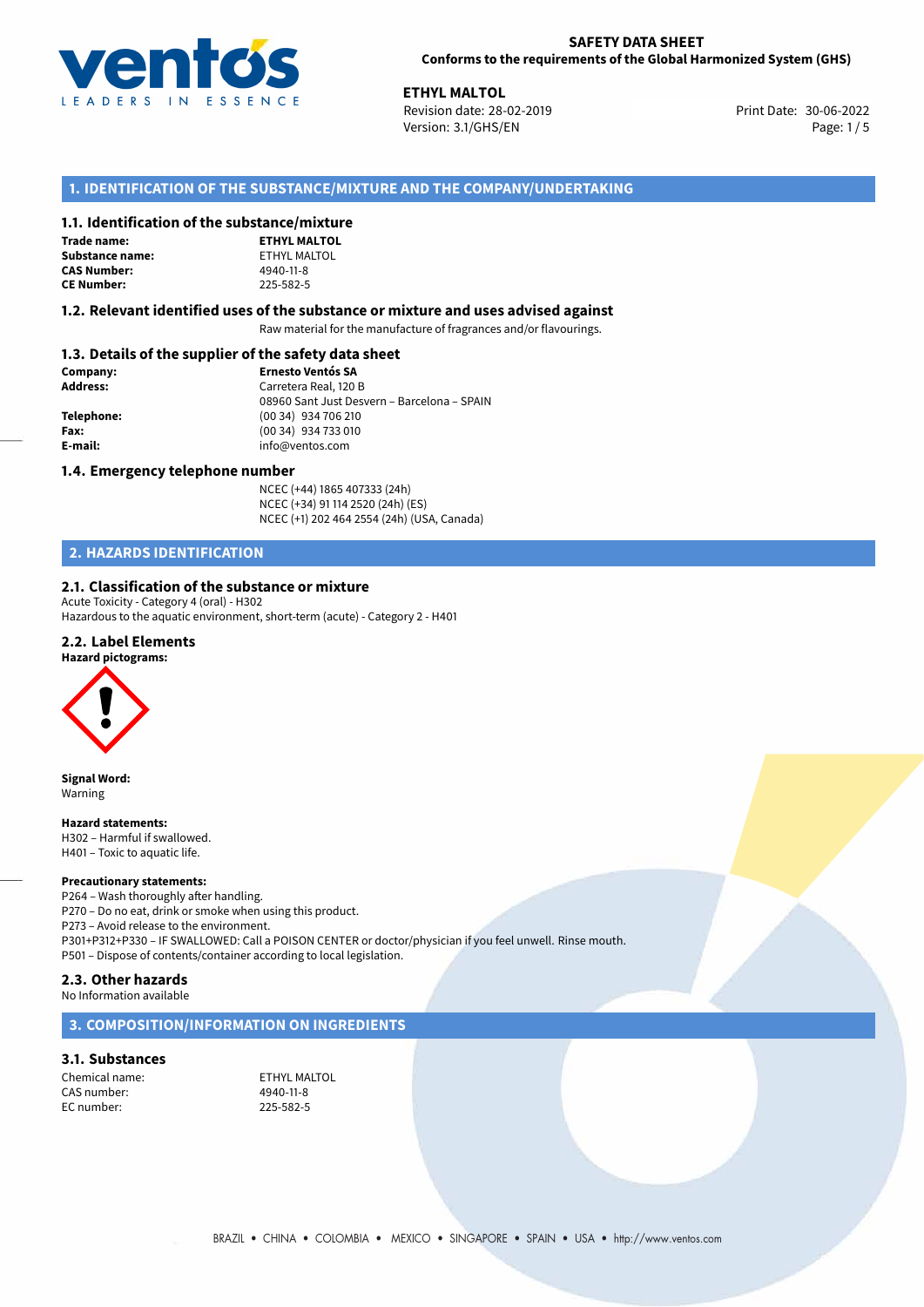

30-06-2022 **ETHYL MALTOL** Revision date: 28-02-2019 Print Date: Version: 3.1/GHS/EN Page: 1 / 5

# **1. IDENTIFICATION OF THE SUBSTANCE/MIXTURE AND THE COMPANY/UNDERTAKING**

## **1.1. Identification of the substance/mixture**

**Trade name: Substance name:** ETHYL MALTOL **CAS Number: CE Number:** 225-582-5

| ,,,,,,,,,,,,,,,,,   |
|---------------------|
| <b>ETHYL MALTOL</b> |
| ETHYL MALTOL        |
| 4940-11-8           |
| 225-582-5           |

#### **1.2. Relevant identified uses of the substance or mixture and uses advised against**

Raw material for the manufacture of fragrances and/or flavourings.

# **1.3. Details of the supplier of the safety data sheet**

| Company:        | <b>Ernesto Ventós SA</b>                    |  |
|-----------------|---------------------------------------------|--|
| <b>Address:</b> | Carretera Real, 120 B                       |  |
|                 | 08960 Sant Just Desvern - Barcelona - SPAIN |  |
| Telephone:      | (00 34) 934 706 210                         |  |
| Fax:            | (00 34) 934 733 010                         |  |
| E-mail:         | info@ventos.com                             |  |
|                 |                                             |  |

#### **1.4. Emergency telephone number**

NCEC (+44) 1865 407333 (24h) NCEC (+34) 91 114 2520 (24h) (ES) NCEC (+1) 202 464 2554 (24h) (USA, Canada)

# **2. HAZARDS IDENTIFICATION**

### **2.1. Classification of the substance or mixture**

Acute Toxicity - Category 4 (oral) - H302 Hazardous to the aquatic environment, short-term (acute) - Category 2 - H401

#### **2.2. Label Elements**

#### **Hazard pictograms:**



**Signal Word:** Warning

**Hazard statements:**

H302 – Harmful if swallowed. H401 – Toxic to aquatic life.

#### **Precautionary statements:**

P264 – Wash thoroughly after handling. P270 – Do no eat, drink or smoke when using this product. P273 – Avoid release to the environment. P301+P312+P330 – IF SWALLOWED: Call a POISON CENTER or doctor/physician if you feel unwell. Rinse mouth. P501 – Dispose of contents/container according to local legislation.

# **2.3. Other hazards**

No Information available

### **3. COMPOSITION/INFORMATION ON INGREDIENTS**

## **3.1. Substances**

Chemical name: ETHYL MALTOL CAS number: EC number: 225-582-5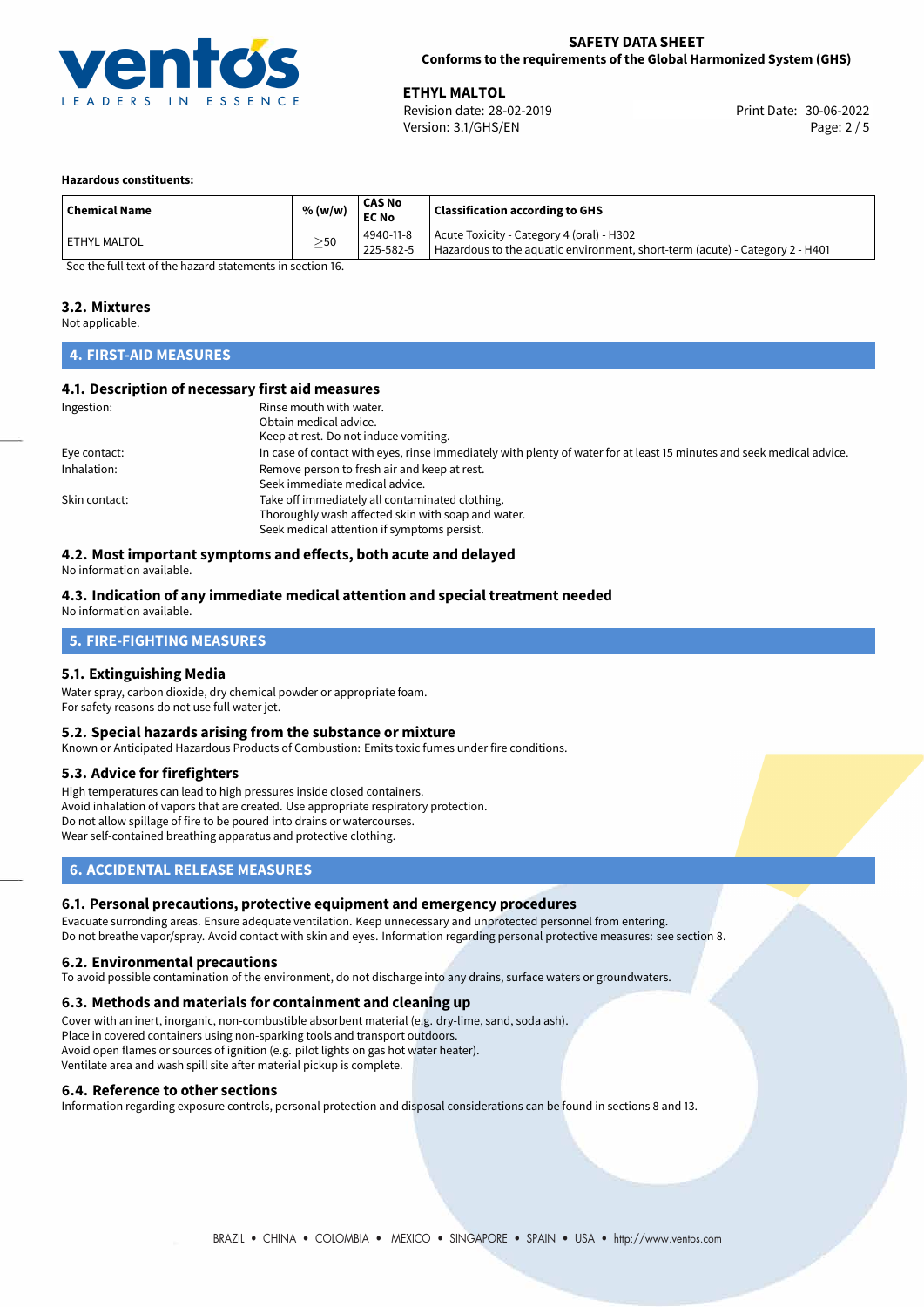

**ETHYL MALTOL**<br>
Revision date: 28-02-2019 **Print Date: 30-06-2022** Version: 3.1/GHS/EN Page: 2 / 5

#### **Hazardous constituents:**

|                | % (w/w)   | <b>EC No</b>           | <b>Classification according to GHS</b>                                                                                    |
|----------------|-----------|------------------------|---------------------------------------------------------------------------------------------------------------------------|
| l ETHYL MALTOL | $\geq$ 50 | 4940-11-8<br>225-582-5 | Acute Toxicity - Category 4 (oral) - H302<br>Hazardous to the aquatic environment, short-term (acute) - Category 2 - H401 |

[See the full text of the hazard statements in section 16.](#page-4-0)

# **3.2. Mixtures**

Not applicable.

# **4. FIRST-AID MEASURES**

# **4.1. Description of necessary first aid measures**

| Ingestion:    | Rinse mouth with water.                                                                                               |
|---------------|-----------------------------------------------------------------------------------------------------------------------|
|               | Obtain medical advice.                                                                                                |
|               | Keep at rest. Do not induce vomiting.                                                                                 |
| Eye contact:  | In case of contact with eyes, rinse immediately with plenty of water for at least 15 minutes and seek medical advice. |
| Inhalation:   | Remove person to fresh air and keep at rest.                                                                          |
|               | Seek immediate medical advice.                                                                                        |
| Skin contact: | Take off immediately all contaminated clothing.                                                                       |
|               | Thoroughly wash affected skin with soap and water.                                                                    |
|               | Seek medical attention if symptoms persist.                                                                           |

# **4.2. Most important symptoms and effects, both acute and delayed**

No information available.

#### **4.3. Indication of any immediate medical attention and special treatment needed** No information available.

# **5. FIRE-FIGHTING MEASURES**

### **5.1. Extinguishing Media**

Water spray, carbon dioxide, dry chemical powder or appropriate foam. For safety reasons do not use full water jet.

### **5.2. Special hazards arising from the substance or mixture**

Known or Anticipated Hazardous Products of Combustion: Emits toxic fumes under fire conditions.

# **5.3. Advice for firefighters**

High temperatures can lead to high pressures inside closed containers. Avoid inhalation of vapors that are created. Use appropriate respiratory protection. Do not allow spillage of fire to be poured into drains or watercourses. Wear self-contained breathing apparatus and protective clothing.

# **6. ACCIDENTAL RELEASE MEASURES**

# **6.1. Personal precautions, protective equipment and emergency procedures**

Evacuate surronding areas. Ensure adequate ventilation. Keep unnecessary and unprotected personnel from entering. Do not breathe vapor/spray. Avoid contact with skin and eyes. Information regarding personal protective measures: see section 8.

### **6.2. Environmental precautions**

To avoid possible contamination of the environment, do not discharge into any drains, surface waters or groundwaters.

### **6.3. Methods and materials for containment and cleaning up**

Cover with an inert, inorganic, non-combustible absorbent material (e.g. dry-lime, sand, soda ash). Place in covered containers using non-sparking tools and transport outdoors. Avoid open flames or sources of ignition (e.g. pilot lights on gas hot water heater). Ventilate area and wash spill site after material pickup is complete.

### **6.4. Reference to other sections**

Information regarding exposure controls, personal protection and disposal considerations can be found in sections 8 and 13.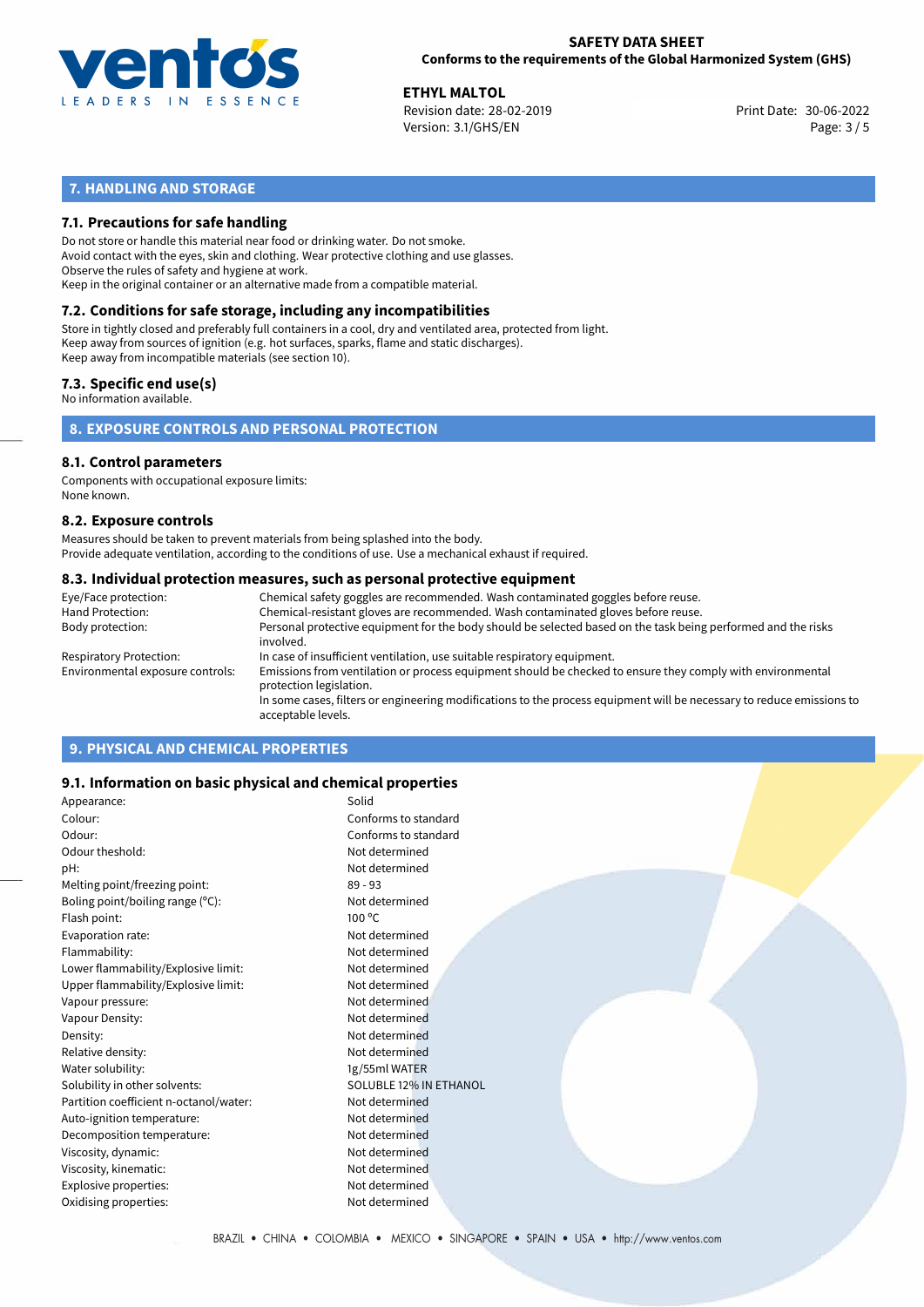

**ETHYL MALTOL**<br>
Revision date: 28-02-2019 **Print Date: 30-06-2022** Version: 3.1/GHS/EN Page: 3 / 5

# **7. HANDLING AND STORAGE**

## **7.1. Precautions for safe handling**

Do not store or handle this material near food or drinking water. Do not smoke. Avoid contact with the eyes, skin and clothing. Wear protective clothing and use glasses. Observe the rules of safety and hygiene at work. Keep in the original container or an alternative made from a compatible material.

# **7.2. Conditions for safe storage, including any incompatibilities**

Store in tightly closed and preferably full containers in a cool, dry and ventilated area, protected from light. Keep away from sources of ignition (e.g. hot surfaces, sparks, flame and static discharges). Keep away from incompatible materials (see section 10).

### **7.3. Specific end use(s)**

No information available.

**8. EXPOSURE CONTROLS AND PERSONAL PROTECTION**

# **8.1. Control parameters**

Components with occupational exposure limits: None known.

#### **8.2. Exposure controls**

Measures should be taken to prevent materials from being splashed into the body. Provide adequate ventilation, according to the conditions of use. Use a mechanical exhaust if required.

#### **8.3. Individual protection measures, such as personal protective equipment**

| Eye/Face protection:             | Chemical safety goggles are recommended. Wash contaminated goggles before reuse.                                                            |
|----------------------------------|---------------------------------------------------------------------------------------------------------------------------------------------|
| Hand Protection:                 | Chemical-resistant gloves are recommended. Wash contaminated gloves before reuse.                                                           |
| Body protection:                 | Personal protective equipment for the body should be selected based on the task being performed and the risks<br>involved.                  |
| Respiratory Protection:          | In case of insufficient ventilation, use suitable respiratory equipment.                                                                    |
| Environmental exposure controls: | Emissions from ventilation or process equipment should be checked to ensure they comply with environmental<br>protection legislation.       |
|                                  | In some cases, filters or engineering modifications to the process equipment will be necessary to reduce emissions to<br>acceptable levels. |
|                                  |                                                                                                                                             |

# **9. PHYSICAL AND CHEMICAL PROPERTIES**

### **9.1. Information on basic physical and chemical properties**

| Appearance:                            | Solid                  |
|----------------------------------------|------------------------|
| Colour:                                | Conforms to standard   |
| Odour:                                 | Conforms to standard   |
| Odour theshold:                        | Not determined         |
| pH:                                    | Not determined         |
| Melting point/freezing point:          | $89 - 93$              |
| Boling point/boiling range $(°C)$ :    | Not determined         |
| Flash point:                           | $100^{\circ}$ C        |
| Evaporation rate:                      | Not determined         |
| Flammability:                          | Not determined         |
| Lower flammability/Explosive limit:    | Not determined         |
| Upper flammability/Explosive limit:    | Not determined         |
| Vapour pressure:                       | Not determined         |
| Vapour Density:                        | Not determined         |
| Density:                               | Not determined         |
| Relative density:                      | Not determined         |
| Water solubility:                      | 1g/55ml WATER          |
| Solubility in other solvents:          | SOLUBLE 12% IN ETHANOL |
| Partition coefficient n-octanol/water: | Not determined         |
| Auto-ignition temperature:             | Not determined         |
| Decomposition temperature:             | Not determined         |
| Viscosity, dynamic:                    | Not determined         |
| Viscosity, kinematic:                  | Not determined         |
| Explosive properties:                  | Not determined         |
| Oxidising properties:                  | Not determined         |
|                                        |                        |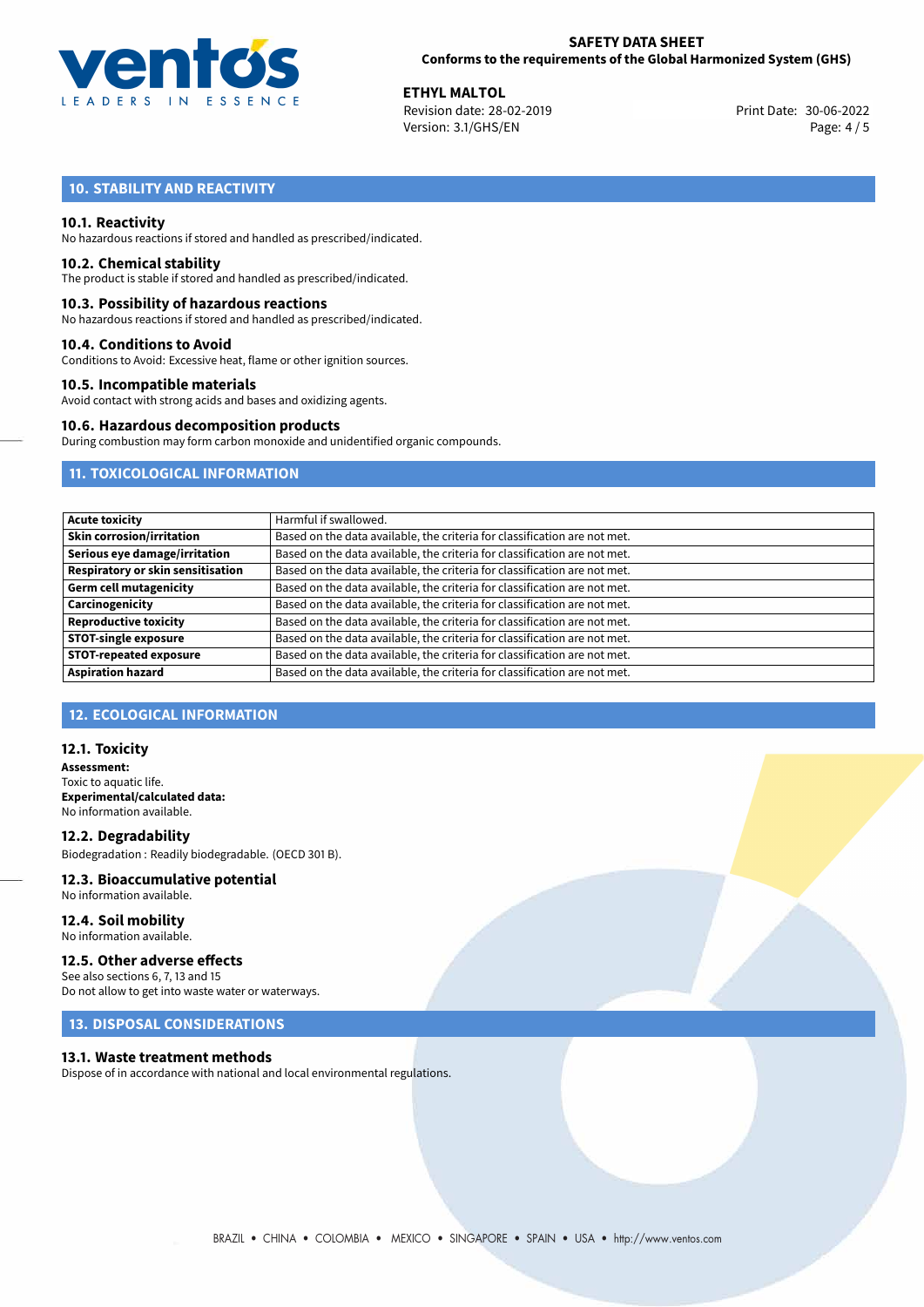

**ETHYL MALTOL**<br>
Revision date: 28-02-2019 **Print Date: 30-06-2022** Version: 3.1/GHS/EN Page: 4 / 5

# **10. STABILITY AND REACTIVITY**

#### **10.1. Reactivity**

No hazardous reactions if stored and handled as prescribed/indicated.

#### **10.2. Chemical stability**

The product is stable if stored and handled as prescribed/indicated.

#### **10.3. Possibility of hazardous reactions**

No hazardous reactions if stored and handled as prescribed/indicated.

#### **10.4. Conditions to Avoid**

Conditions to Avoid: Excessive heat, flame or other ignition sources.

#### **10.5. Incompatible materials**

Avoid contact with strong acids and bases and oxidizing agents.

#### **10.6. Hazardous decomposition products**

During combustion may form carbon monoxide and unidentified organic compounds.

# **11. TOXICOLOGICAL INFORMATION**

| <b>Acute toxicity</b>             | Harmful if swallowed.                                                     |
|-----------------------------------|---------------------------------------------------------------------------|
| <b>Skin corrosion/irritation</b>  | Based on the data available, the criteria for classification are not met. |
| Serious eye damage/irritation     | Based on the data available, the criteria for classification are not met. |
| Respiratory or skin sensitisation | Based on the data available, the criteria for classification are not met. |
| <b>Germ cell mutagenicity</b>     | Based on the data available, the criteria for classification are not met. |
| Carcinogenicity                   | Based on the data available, the criteria for classification are not met. |
| <b>Reproductive toxicity</b>      | Based on the data available, the criteria for classification are not met. |
| <b>STOT-single exposure</b>       | Based on the data available, the criteria for classification are not met. |
| <b>STOT-repeated exposure</b>     | Based on the data available, the criteria for classification are not met. |
| <b>Aspiration hazard</b>          | Based on the data available, the criteria for classification are not met. |

# **12. ECOLOGICAL INFORMATION**

#### **12.1. Toxicity**

**Assessment:** Toxic to aquatic life. **Experimental/calculated data:** No information available.

**12.2. Degradability** Biodegradation : Readily biodegradable. (OECD 301 B).

# **12.3. Bioaccumulative potential**

No information available.

**12.4. Soil mobility** No information available.

### **12.5. Other adverse effects**

See also sections 6, 7, 13 and 15 Do not allow to get into waste water or waterways.

# **13. DISPOSAL CONSIDERATIONS**

#### **13.1. Waste treatment methods**

Dispose of in accordance with national and local environmental regulations.